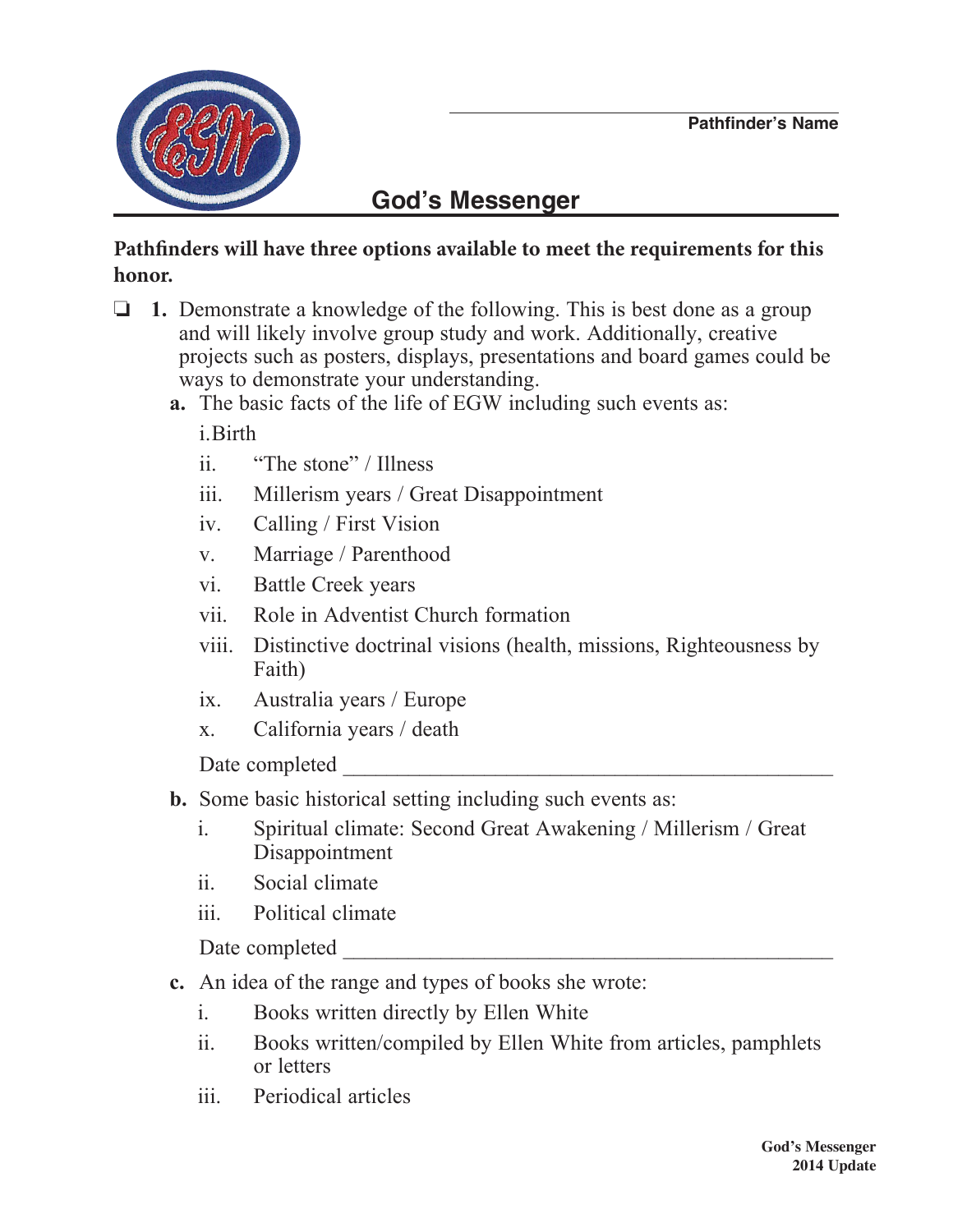

## **God's Messenger**

## **Pathfinders will have three options available to meet the requirements for this honor.**

- $\Box$  1. Demonstrate a knowledge of the following. This is best done as a group and will likely involve group study and work. Additionally, creative projects such as posters, displays, presentations and board games could be ways to demonstrate your understanding.
	- **a.** The basic facts of the life of EGW including such events as:

i.Birth

- ii. "The stone" / Illness
- iii. Millerism years / Great Disappointment
- iv. Calling / First Vision
- v. Marriage / Parenthood
- vi. Battle Creek years
- vii. Role in Adventist Church formation
- viii. Distinctive doctrinal visions (health, missions, Righteousness by Faith)
- ix. Australia years / Europe
- x. California years / death

Date completed

- **b.** Some basic historical setting including such events as:
	- i. Spiritual climate: Second Great Awakening / Millerism / Great Disappointment
	- ii. Social climate
	- iii. Political climate

Date completed

- **c.** An idea of the range and types of books she wrote:
	- i. Books written directly by Ellen White
	- ii. Books written/compiled by Ellen White from articles, pamphlets or letters
	- iii. Periodical articles